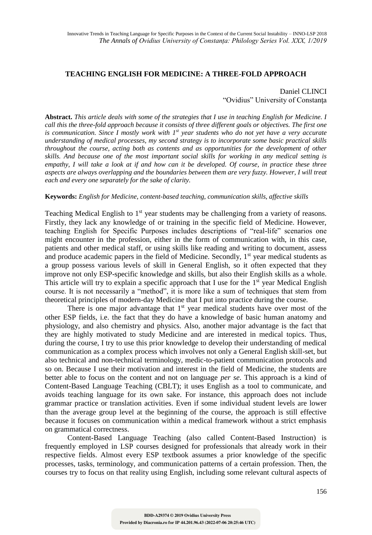## **TEACHING ENGLISH FOR MEDICINE: A THREE-FOLD APPROACH**

# Daniel CLINCI "Ovidius" University of Constanţa

**Abstract.** *This article deals with some of the strategies that I use in teaching English for Medicine. I call this the three-fold approach because it consists of three different goals or objectives. The first one is communication. Since I mostly work with 1st year students who do not yet have a very accurate understanding of medical processes, my second strategy is to incorporate some basic practical skills throughout the course, acting both as contents and as opportunities for the development of other skills. And because one of the most important social skills for working in any medical setting is empathy, I will take a look at if and how can it be developed. Of course, in practice these three aspects are always overlapping and the boundaries between them are very fuzzy. However, I will treat each and every one separately for the sake of clarity.*

#### **Keywords:** *English for Medicine, content-based teaching, communication skills, affective skills*

Teaching Medical English to 1<sup>st</sup> year students may be challenging from a variety of reasons. Firstly, they lack any knowledge of or training in the specific field of Medicine. However, teaching English for Specific Purposes includes descriptions of "real-life" scenarios one might encounter in the profession, either in the form of communication with, in this case, patients and other medical staff, or using skills like reading and writing to document, assess and produce academic papers in the field of Medicine. Secondly,  $1<sup>st</sup>$  year medical students as a group possess various levels of skill in General English, so it often expected that they improve not only ESP-specific knowledge and skills, but also their English skills as a whole. This article will try to explain a specific approach that I use for the  $1<sup>st</sup>$  year Medical English course. It is not necessarily a "method", it is more like a sum of techniques that stem from theoretical principles of modern-day Medicine that I put into practice during the course.

There is one major advantage that  $1<sup>st</sup>$  year medical students have over most of the other ESP fields, i.e. the fact that they do have a knowledge of basic human anatomy and physiology, and also chemistry and physics. Also, another major advantage is the fact that they are highly motivated to study Medicine and are interested in medical topics. Thus, during the course, I try to use this prior knowledge to develop their understanding of medical communication as a complex process which involves not only a General English skill-set, but also technical and non-technical terminology, medic-to-patient communication protocols and so on. Because I use their motivation and interest in the field of Medicine, the students are better able to focus on the content and not on language *per se*. This approach is a kind of Content-Based Language Teaching (CBLT); it uses English as a tool to communicate, and avoids teaching language for its own sake. For instance, this approach does not include grammar practice or translation activities. Even if some individual student levels are lower than the average group level at the beginning of the course, the approach is still effective because it focuses on communication within a medical framework without a strict emphasis on grammatical correctness.

Content-Based Language Teaching (also called Content-Based Instruction) is frequently employed in LSP courses designed for professionals that already work in their respective fields. Almost every ESP textbook assumes a prior knowledge of the specific processes, tasks, terminology, and communication patterns of a certain profession. Then, the courses try to focus on that reality using English, including some relevant cultural aspects of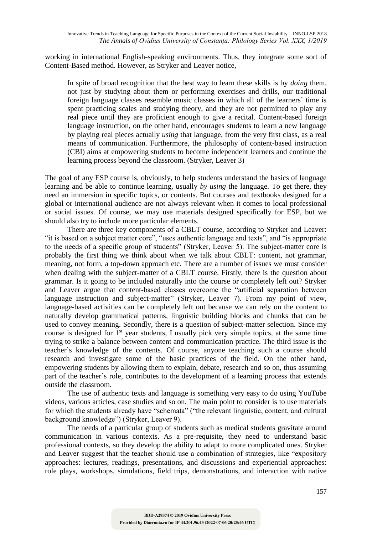working in international English-speaking environments. Thus, they integrate some sort of Content-Based method. However, as Stryker and Leaver notice,

In spite of broad recognition that the best way to learn these skills is by *doing* them, not just by studying about them or performing exercises and drills, our traditional foreign language classes resemble music classes in which all of the learners` time is spent practicing scales and studying theory, and they are not permitted to play any real piece until they are proficient enough to give a recital. Content-based foreign language instruction, on the other hand, encourages students to learn a new language by playing real pieces actually *using* that language, from the very first class, as a real means of communication. Furthermore, the philosophy of content-based instruction (CBI) aims at empowering students to become independent learners and continue the learning process beyond the classroom. (Stryker, Leaver 3)

The goal of any ESP course is, obviously, to help students understand the basics of language learning and be able to continue learning, usually *by using* the language. To get there, they need an immersion in specific topics, or contents. But courses and textbooks designed for a global or international audience are not always relevant when it comes to local professional or social issues. Of course, we may use materials designed specifically for ESP, but we should also try to include more particular elements.

There are three key components of a CBLT course, according to Stryker and Leaver: "it is based on a subject matter core", "uses authentic language and texts", and "is appropriate to the needs of a specific group of students" (Stryker, Leaver 5). The subject-matter core is probably the first thing we think about when we talk about CBLT: content, not grammar, meaning, not form, a top-down approach etc. There are a number of issues we must consider when dealing with the subject-matter of a CBLT course. Firstly, there is the question about grammar. Is it going to be included naturally into the course or completely left out? Stryker and Leaver argue that content-based classes overcome the "artificial separation between language instruction and subject-matter" (Stryker, Leaver 7). From my point of view, language-based activities can be completely left out because we can rely on the content to naturally develop grammatical patterns, linguistic building blocks and chunks that can be used to convey meaning. Secondly, there is a question of subject-matter selection. Since my course is designed for  $1<sup>st</sup>$  year students, I usually pick very simple topics, at the same time trying to strike a balance between content and communication practice. The third issue is the teacher`s knowledge of the contents. Of course, anyone teaching such a course should research and investigate some of the basic practices of the field. On the other hand, empowering students by allowing them to explain, debate, research and so on, thus assuming part of the teacher`s role, contributes to the development of a learning process that extends outside the classroom.

The use of authentic texts and language is something very easy to do using YouTube videos, various articles, case studies and so on. The main point to consider is to use materials for which the students already have "schemata" ("the relevant linguistic, content, and cultural background knowledge") (Stryker, Leaver 9).

The needs of a particular group of students such as medical students gravitate around communication in various contexts. As a pre-requisite, they need to understand basic professional contexts, so they develop the ability to adapt to more complicated ones. Stryker and Leaver suggest that the teacher should use a combination of strategies, like "expository approaches: lectures, readings, presentations, and discussions and experiential approaches: role plays, workshops, simulations, field trips, demonstrations, and interaction with native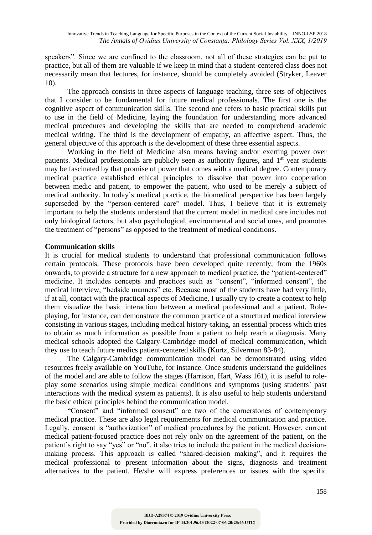speakers". Since we are confined to the classroom, not all of these strategies can be put to practice, but all of them are valuable if we keep in mind that a student-centered class does not necessarily mean that lectures, for instance, should be completely avoided (Stryker, Leaver 10).

The approach consists in three aspects of language teaching, three sets of objectives that I consider to be fundamental for future medical professionals. The first one is the cognitive aspect of communication skills. The second one refers to basic practical skills put to use in the field of Medicine, laying the foundation for understanding more advanced medical procedures and developing the skills that are needed to comprehend academic medical writing. The third is the development of empathy, an affective aspect. Thus, the general objective of this approach is the development of these three essential aspects.

Working in the field of Medicine also means having and/or exerting power over patients. Medical professionals are publicly seen as authority figures, and  $1<sup>st</sup>$  year students may be fascinated by that promise of power that comes with a medical degree. Contemporary medical practice established ethical principles to dissolve that power into cooperation between medic and patient, to empower the patient, who used to be merely a subject of medical authority. In today`s medical practice, the biomedical perspective has been largely superseded by the "person-centered care" model. Thus, I believe that it is extremely important to help the students understand that the current model in medical care includes not only biological factors, but also psychological, environmental and social ones, and promotes the treatment of "persons" as opposed to the treatment of medical conditions.

### **Communication skills**

It is crucial for medical students to understand that professional communication follows certain protocols. These protocols have been developed quite recently, from the 1960s onwards, to provide a structure for a new approach to medical practice, the "patient-centered" medicine. It includes concepts and practices such as "consent", "informed consent", the medical interview, "bedside manners" etc. Because most of the students have had very little, if at all, contact with the practical aspects of Medicine, I usually try to create a context to help them visualize the basic interaction between a medical professional and a patient. Roleplaying, for instance, can demonstrate the common practice of a structured medical interview consisting in various stages, including medical history-taking, an essential process which tries to obtain as much information as possible from a patient to help reach a diagnosis. Many medical schools adopted the Calgary-Cambridge model of medical communication, which they use to teach future medics patient-centered skills (Kurtz, Silverman 83-84).

The Calgary-Cambridge communication model can be demonstrated using video resources freely available on YouTube, for instance. Once students understand the guidelines of the model and are able to follow the stages (Harrison, Hart, Wass 161), it is useful to roleplay some scenarios using simple medical conditions and symptoms (using students` past interactions with the medical system as patients). It is also useful to help students understand the basic ethical principles behind the communication model.

"Consent" and "informed consent" are two of the cornerstones of contemporary medical practice. These are also legal requirements for medical communication and practice. Legally, consent is "authorization" of medical procedures by the patient. However, current medical patient-focused practice does not rely only on the agreement of the patient, on the patient's right to say "yes" or "no", it also tries to include the patient in the medical decisionmaking process. This approach is called "shared-decision making", and it requires the medical professional to present information about the signs, diagnosis and treatment alternatives to the patient. He/she will express preferences or issues with the specific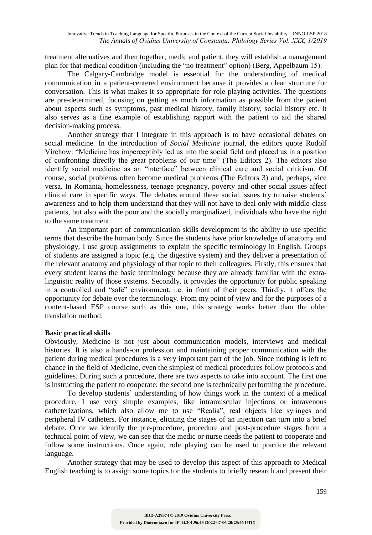treatment alternatives and then together, medic and patient, they will establish a management plan for that medical condition (including the "no treatment" option) (Berg, Appelbaum 15).

The Calgary-Cambridge model is essential for the understanding of medical communication in a patient-centered environment because it provides a clear structure for conversation. This is what makes it so appropriate for role playing activities. The questions are pre-determined, focusing on getting as much information as possible from the patient about aspects such as symptoms, past medical history, family history, social history etc. It also serves as a fine example of establishing rapport with the patient to aid the shared decision-making process.

Another strategy that I integrate in this approach is to have occasional debates on social medicine. In the introduction of *Social Medicine* journal, the editors quote Rudolf Virchow: "Medicine has imperceptibly led us into the social field and placed us in a position of confronting directly the great problems of our time" (The Editors 2). The editors also identify social medicine as an "interface" between clinical care and social criticism. Of course, social problems often become medical problems (The Editors 3) and, perhaps, vice versa. In Romania, homelessness, teenage pregnancy, poverty and other social issues affect clinical care in specific ways. The debates around these social issues try to raise students` awareness and to help them understand that they will not have to deal only with middle-class patients, but also with the poor and the socially marginalized, individuals who have the right to the same treatment.

An important part of communication skills development is the ability to use specific terms that describe the human body. Since the students have prior knowledge of anatomy and physiology, I use group assignments to explain the specific terminology in English. Groups of students are assigned a topic (e.g. the digestive system) and they deliver a presentation of the relevant anatomy and physiology of that topic to their colleagues. Firstly, this ensures that every student learns the basic terminology because they are already familiar with the extralinguistic reality of those systems. Secondly, it provides the opportunity for public speaking in a controlled and "safe" environment, i.e. in front of their peers. Thirdly, it offers the opportunity for debate over the terminology. From my point of view and for the purposes of a content-based ESP course such as this one, this strategy works better than the older translation method.

#### **Basic practical skills**

Obviously, Medicine is not just about communication models, interviews and medical histories. It is also a hands-on profession and maintaining proper communication with the patient during medical procedures is a very important part of the job. Since nothing is left to chance in the field of Medicine, even the simplest of medical procedures follow protocols and guidelines. During such a procedure, there are two aspects to take into account. The first one is instructing the patient to cooperate; the second one is technically performing the procedure.

To develop students` understanding of how things work in the context of a medical procedure, I use very simple examples, like intramuscular injections or intravenous catheterizations, which also allow me to use "Realia", real objects like syringes and peripheral IV catheters. For instance, eliciting the stages of an injection can turn into a brief debate. Once we identify the pre-procedure, procedure and post-procedure stages from a technical point of view, we can see that the medic or nurse needs the patient to cooperate and follow some instructions. Once again, role playing can be used to practice the relevant language.

Another strategy that may be used to develop this aspect of this approach to Medical English teaching is to assign some topics for the students to briefly research and present their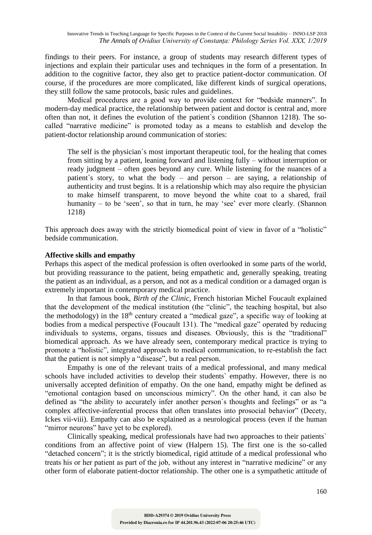findings to their peers. For instance, a group of students may research different types of injections and explain their particular uses and techniques in the form of a presentation. In addition to the cognitive factor, they also get to practice patient-doctor communication. Of course, if the procedures are more complicated, like different kinds of surgical operations, they still follow the same protocols, basic rules and guidelines.

Medical procedures are a good way to provide context for "bedside manners". In modern-day medical practice, the relationship between patient and doctor is central and, more often than not, it defines the evolution of the patient`s condition (Shannon 1218). The socalled "narrative medicine" is promoted today as a means to establish and develop the patient-doctor relationship around communication of stories:

The self is the physician`s most important therapeutic tool, for the healing that comes from sitting by a patient, leaning forward and listening fully – without interruption or ready judgment – often goes beyond any cure. While listening for the nuances of a patient`s story, to what the body – and person – are saying, a relationship of authenticity and trust begins. It is a relationship which may also require the physician to make himself transparent, to move beyond the white coat to a shared, frail humanity – to be 'seen', so that in turn, he may 'see' ever more clearly. (Shannon 1218)

This approach does away with the strictly biomedical point of view in favor of a "holistic" bedside communication.

### **Affective skills and empathy**

Perhaps this aspect of the medical profession is often overlooked in some parts of the world, but providing reassurance to the patient, being empathetic and, generally speaking, treating the patient as an individual, as a person, and not as a medical condition or a damaged organ is extremely important in contemporary medical practice.

In that famous book, *Birth of the Clinic*, French historian Michel Foucault explained that the development of the medical institution (the "clinic", the teaching hospital, but also the methodology) in the  $18<sup>th</sup>$  century created a "medical gaze", a specific way of looking at bodies from a medical perspective (Foucault 131). The "medical gaze" operated by reducing individuals to systems, organs, tissues and diseases. Obviously, this is the "traditional" biomedical approach. As we have already seen, contemporary medical practice is trying to promote a "holistic", integrated approach to medical communication, to re-establish the fact that the patient is not simply a "disease", but a real person.

Empathy is one of the relevant traits of a medical professional, and many medical schools have included activities to develop their students` empathy. However, there is no universally accepted definition of empathy. On the one hand, empathy might be defined as "emotional contagion based on unconscious mimicry". On the other hand, it can also be defined as "the ability to accurately infer another person`s thoughts and feelings" or as "a complex affective-inferential process that often translates into prosocial behavior" (Decety, Ickes vii-viii). Empathy can also be explained as a neurological process (even if the human "mirror neurons" have yet to be explored).

Clinically speaking, medical professionals have had two approaches to their patients` conditions from an affective point of view (Halpern 15). The first one is the so-called "detached concern"; it is the strictly biomedical, rigid attitude of a medical professional who treats his or her patient as part of the job, without any interest in "narrative medicine" or any other form of elaborate patient-doctor relationship. The other one is a sympathetic attitude of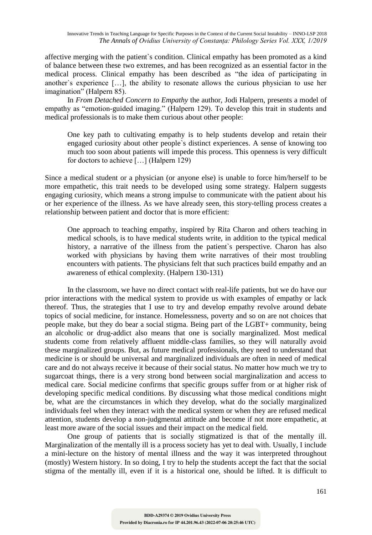affective merging with the patient`s condition. Clinical empathy has been promoted as a kind of balance between these two extremes, and has been recognized as an essential factor in the medical process. Clinical empathy has been described as "the idea of participating in another`s experience […], the ability to resonate allows the curious physician to use her imagination" (Halpern 85).

In *From Detached Concern to Empathy* the author, Jodi Halpern, presents a model of empathy as "emotion-guided imaging." (Halpern 129). To develop this trait in students and medical professionals is to make them curious about other people:

One key path to cultivating empathy is to help students develop and retain their engaged curiosity about other people`s distinct experiences. A sense of knowing too much too soon about patients will impede this process. This openness is very difficult for doctors to achieve […] (Halpern 129)

Since a medical student or a physician (or anyone else) is unable to force him/herself to be more empathetic, this trait needs to be developed using some strategy. Halpern suggests engaging curiosity, which means a strong impulse to communicate with the patient about his or her experience of the illness. As we have already seen, this story-telling process creates a relationship between patient and doctor that is more efficient:

One approach to teaching empathy, inspired by Rita Charon and others teaching in medical schools, is to have medical students write, in addition to the typical medical history, a narrative of the illness from the patient`s perspective. Charon has also worked with physicians by having them write narratives of their most troubling encounters with patients. The physicians felt that such practices build empathy and an awareness of ethical complexity. (Halpern 130-131)

In the classroom, we have no direct contact with real-life patients, but we do have our prior interactions with the medical system to provide us with examples of empathy or lack thereof. Thus, the strategies that I use to try and develop empathy revolve around debate topics of social medicine, for instance. Homelessness, poverty and so on are not choices that people make, but they do bear a social stigma. Being part of the LGBT+ community, being an alcoholic or drug-addict also means that one is socially marginalized. Most medical students come from relatively affluent middle-class families, so they will naturally avoid these marginalized groups. But, as future medical professionals, they need to understand that medicine is or should be universal and marginalized individuals are often in need of medical care and do not always receive it because of their social status. No matter how much we try to sugarcoat things, there is a very strong bond between social marginalization and access to medical care. Social medicine confirms that specific groups suffer from or at higher risk of developing specific medical conditions. By discussing what those medical conditions might be, what are the circumstances in which they develop, what do the socially marginalized individuals feel when they interact with the medical system or when they are refused medical attention, students develop a non-judgmental attitude and become if not more empathetic, at least more aware of the social issues and their impact on the medical field.

One group of patients that is socially stigmatized is that of the mentally ill. Marginalization of the mentally ill is a process society has yet to deal with. Usually, I include a mini-lecture on the history of mental illness and the way it was interpreted throughout (mostly) Western history. In so doing, I try to help the students accept the fact that the social stigma of the mentally ill, even if it is a historical one, should be lifted. It is difficult to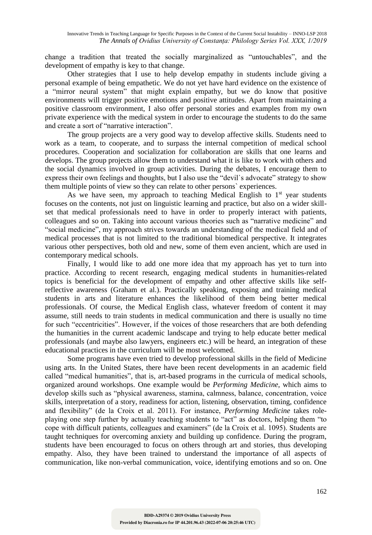change a tradition that treated the socially marginalized as "untouchables", and the development of empathy is key to that change.

Other strategies that I use to help develop empathy in students include giving a personal example of being empathetic. We do not yet have hard evidence on the existence of a "mirror neural system" that might explain empathy, but we do know that positive environments will trigger positive emotions and positive attitudes. Apart from maintaining a positive classroom environment, I also offer personal stories and examples from my own private experience with the medical system in order to encourage the students to do the same and create a sort of "narrative interaction".

The group projects are a very good way to develop affective skills. Students need to work as a team, to cooperate, and to surpass the internal competition of medical school procedures. Cooperation and socialization for collaboration are skills that one learns and develops. The group projects allow them to understand what it is like to work with others and the social dynamics involved in group activities. During the debates, I encourage them to express their own feelings and thoughts, but I also use the "devil`s advocate" strategy to show them multiple points of view so they can relate to other persons` experiences.

As we have seen, my approach to teaching Medical English to  $1<sup>st</sup>$  year students focuses on the contents, not just on linguistic learning and practice, but also on a wider skillset that medical professionals need to have in order to properly interact with patients, colleagues and so on. Taking into account various theories such as "narrative medicine" and "social medicine", my approach strives towards an understanding of the medical field and of medical processes that is not limited to the traditional biomedical perspective. It integrates various other perspectives, both old and new, some of them even ancient, which are used in contemporary medical schools.

Finally, I would like to add one more idea that my approach has yet to turn into practice. According to recent research, engaging medical students in humanities-related topics is beneficial for the development of empathy and other affective skills like selfreflective awareness (Graham et al.). Practically speaking, exposing and training medical students in arts and literature enhances the likelihood of them being better medical professionals. Of course, the Medical English class, whatever freedom of content it may assume, still needs to train students in medical communication and there is usually no time for such "eccentricities". However, if the voices of those researchers that are both defending the humanities in the current academic landscape and trying to help educate better medical professionals (and maybe also lawyers, engineers etc.) will be heard, an integration of these educational practices in the curriculum will be most welcomed.

Some programs have even tried to develop professional skills in the field of Medicine using arts. In the United States, there have been recent developments in an academic field called "medical humanities", that is, art-based programs in the curricula of medical schools, organized around workshops. One example would be *Performing Medicine*, which aims to develop skills such as "physical awareness, stamina, calmness, balance, concentration, voice skills, interpretation of a story, readiness for action, listening, observation, timing, confidence and flexibility" (de la Croix et al. 2011). For instance, *Performing Medicine* takes roleplaying one step further by actually teaching students to "act" as doctors, helping them "to cope with difficult patients, colleagues and examiners" (de la Croix et al. 1095). Students are taught techniques for overcoming anxiety and building up confidence. During the program, students have been encouraged to focus on others through art and stories, thus developing empathy. Also, they have been trained to understand the importance of all aspects of communication, like non-verbal communication, voice, identifying emotions and so on. One